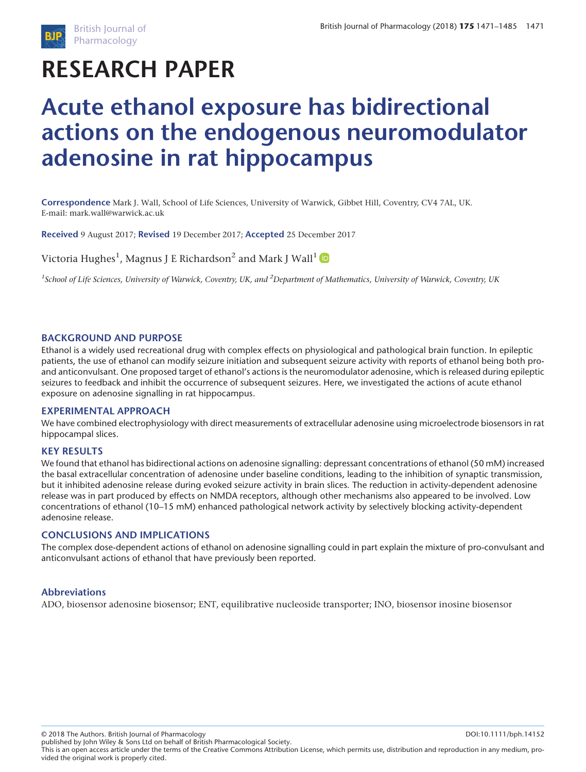

# **RESEARCH PAPER**

# **Acute ethanol exposure has bidirectional actions on the endogenous neuromodulator adenosine in rat hippocampus**

**Correspondence** Mark J. Wall, School of Life Sciences, University of Warwick, Gibbet Hill, Coventry, CV4 7AL, UK. E-mail: mark.wall@warwick.ac.uk

**Received** 9 August 2017; **Revised** 19 December 2017; **Accepted** 25 December 2017

Victoria Hughes $^1$ , Magnus J E Richardson $^2$  and Mark J Wall $^1$ 

*1 School of Life Sciences, University of Warwick, Coventry, UK, and <sup>2</sup> Department of Mathematics, University of Warwick, Coventry, UK*

#### **BACKGROUND AND PURPOSE**

Ethanol is a widely used recreational drug with complex effects on physiological and pathological brain function. In epileptic patients, the use of ethanol can modify seizure initiation and subsequent seizure activity with reports of ethanol being both proand anticonvulsant. One proposed target of ethanol's actions is the neuromodulator adenosine, which is released during epileptic seizures to feedback and inhibit the occurrence of subsequent seizures. Here, we investigated the actions of acute ethanol exposure on adenosine signalling in rat hippocampus.

#### **EXPERIMENTAL APPROACH**

We have combined electrophysiology with direct measurements of extracellular adenosine using microelectrode biosensors in rat hippocampal slices.

#### **KEY RESULTS**

We found that ethanol has bidirectional actions on adenosine signalling: depressant concentrations of ethanol (50 mM) increased the basal extracellular concentration of adenosine under baseline conditions, leading to the inhibition of synaptic transmission, but it inhibited adenosine release during evoked seizure activity in brain slices. The reduction in activity-dependent adenosine release was in part produced by effects on NMDA receptors, although other mechanisms also appeared to be involved. Low concentrations of ethanol (10–15 mM) enhanced pathological network activity by selectively blocking activity-dependent adenosine release.

#### **CONCLUSIONS AND IMPLICATIONS**

The complex dose-dependent actions of ethanol on adenosine signalling could in part explain the mixture of pro-convulsant and anticonvulsant actions of ethanol that have previously been reported.

#### **Abbreviations**

ADO, biosensor adenosine biosensor; ENT, equilibrative nucleoside transporter; INO, biosensor inosine biosensor

© 2018 The Authors. British Journal of Pharmacology DOI:10.1111/bph.14152

This is an open access article under the terms of the [Creative Commons Attribution](http://creativecommons.org/licenses/by/4.0/) License, which permits use, distribution and reproduction in any medium, provided the original work is properly cited. published by John Wiley & Sons Ltd on behalf of British Pharmacological Society.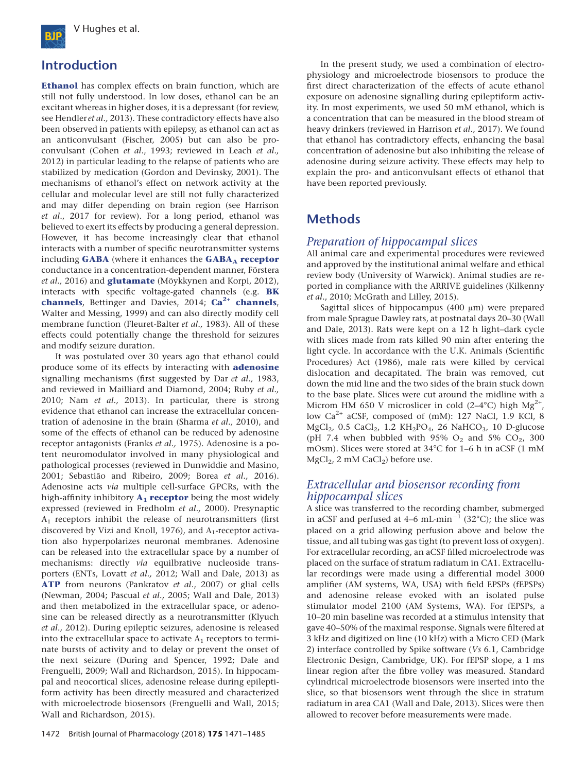

# **Introduction**

**[Ethanol](http://www.guidetopharmacology.org/GRAC/LigandDisplayForward?ligandId=2299)** has complex effects on brain function, which are still not fully understood. In low doses, ethanol can be an excitant whereas in higher doses, it is a depressant (for review, see Hendler *et al.,* 2013). These contradictory effects have also been observed in patients with epilepsy, as ethanol can act as an anticonvulsant (Fischer, 2005) but can also be proconvulsant (Cohen *et al*., 1993; reviewed in Leach *et al.,* 2012) in particular leading to the relapse of patients who are stabilized by medication (Gordon and Devinsky, 2001). The mechanisms of ethanol's effect on network activity at the cellular and molecular level are still not fully characterized and may differ depending on brain region (see Harrison *et al*., 2017 for review). For a long period, ethanol was believed to exert its effects by producing a general depression. However, it has become increasingly clear that ethanol interacts with a number of specific neurotransmitter systems including **[GABA](http://www.guidetopharmacology.org/GRAC/LigandDisplayForward?ligandId=1067)** (where it enhances the **GABA**<sub>A</sub> [receptor](http://www.guidetopharmacology.org/GRAC/FamilyDisplayForward?familyId=72) conductance in a concentration-dependent manner, Förstera *et al.,* 2016) and **[glutamate](http://www.guidetopharmacology.org/GRAC/LigandDisplayForward?ligandId=1369)** (Möykkynen and Korpi, 2012), interacts with specific voltage-gated channels (e.g. **[BK](http://www.guidetopharmacology.org/GRAC/FamilyDisplayForward?familyId=81) [channels](http://www.guidetopharmacology.org/GRAC/FamilyDisplayForward?familyId=81)**, Bettinger and Davies, 2014; **[Ca](http://www.guidetopharmacology.org/GRAC/FamilyDisplayForward?familyId=80)2+ [channels](http://www.guidetopharmacology.org/GRAC/FamilyDisplayForward?familyId=80)**, Walter and Messing, 1999) and can also directly modify cell membrane function (Fleuret-Balter *et al.,* 1983). All of these effects could potentially change the threshold for seizures and modify seizure duration.

It was postulated over 30 years ago that ethanol could produce some of its effects by interacting with **[adenosine](http://www.guidetopharmacology.org/GRAC/LigandDisplayForward?ligandId=2844)** signalling mechanisms (first suggested by Dar *et al.,* 1983, and reviewed in Mailliard and Diamond, 2004; Ruby *et al.,* 2010; Nam *et al.,* 2013). In particular, there is strong evidence that ethanol can increase the extracellular concentration of adenosine in the brain (Sharma *et al.,* 2010), and some of the effects of ethanol can be reduced by adenosine receptor antagonists (Franks *et al.,* 1975). Adenosine is a potent neuromodulator involved in many physiological and pathological processes (reviewed in Dunwiddie and Masino, 2001; Sebastião and Ribeiro, 2009; Borea *et al.,* 2016). Adenosine acts *via* multiple cell-surface GPCRs, with the high-affinity inhibitory  $A_1$  **[receptor](http://www.guidetopharmacology.org/GRAC/ObjectDisplayForward?objectId=18)** being the most widely expressed (reviewed in Fredholm *et al.,* 2000). Presynaptic  $A_1$  receptors inhibit the release of neurotransmitters (first discovered by Vizi and Knoll, 1976), and A<sub>1</sub>-receptor activation also hyperpolarizes neuronal membranes. Adenosine can be released into the extracellular space by a number of mechanisms: directly *via* equilbrative nucleoside transporters (ENTs, Lovatt *et al.,* 2012; Wall and Dale, 2013) as **[ATP](http://www.guidetopharmacology.org/GRAC/LigandDisplayForward?ligandId=1713)** from neurons (Pankratov *et al*., 2007) or glial cells (Newman, 2004; Pascual *et al.,* 2005; Wall and Dale, 2013) and then metabolized in the extracellular space, or adenosine can be released directly as a neurotransmitter (Klyuch *et al.,* 2012). During epileptic seizures, adenosine is released into the extracellular space to activate  $A_1$  receptors to terminate bursts of activity and to delay or prevent the onset of the next seizure (During and Spencer, 1992; Dale and Frenguelli, 2009; Wall and Richardson, 2015). In hippocampal and neocortical slices, adenosine release during epileptiform activity has been directly measured and characterized with microelectrode biosensors (Frenguelli and Wall, 2015; Wall and Richardson, 2015).

In the present study, we used a combination of electrophysiology and microelectrode biosensors to produce the first direct characterization of the effects of acute ethanol exposure on adenosine signalling during epileptiform activity. In most experiments, we used 50 mM ethanol, which is a concentration that can be measured in the blood stream of heavy drinkers (reviewed in Harrison *et al*., 2017). We found that ethanol has contradictory effects, enhancing the basal concentration of adenosine but also inhibiting the release of adenosine during seizure activity. These effects may help to explain the pro- and anticonvulsant effects of ethanol that have been reported previously.

# **Methods**

#### *Preparation of hippocampal slices*

All animal care and experimental procedures were reviewed and approved by the institutional animal welfare and ethical review body (University of Warwick). Animal studies are reported in compliance with the ARRIVE guidelines (Kilkenny *et al*., 2010; McGrath and Lilley, 2015).

Sagittal slices of hippocampus (400 μm) were prepared from male Sprague Dawley rats, at postnatal days 20–30 (Wall and Dale, 2013). Rats were kept on a 12 h light–dark cycle with slices made from rats killed 90 min after entering the light cycle. In accordance with the U.K. Animals (Scientific Procedures) Act (1986), male rats were killed by cervical dislocation and decapitated. The brain was removed, cut down the mid line and the two sides of the brain stuck down to the base plate. Slices were cut around the midline with a Microm HM 650 V microslicer in cold (2–4°C) high  $Mg^{2+}$ , low Ca<sup>2+</sup> aCSF, composed of (mM): 127 NaCl, 1.9 KCl, 8  $MgCl<sub>2</sub>$ , 0.5 CaCl<sub>2</sub>, 1.2 KH<sub>2</sub>PO<sub>4</sub>, 26 NaHCO<sub>3</sub>, 10 D-glucose (pH 7.4 when bubbled with 95%  $O_2$  and 5%  $CO_2$ , 300 mOsm). Slices were stored at 34°C for 1–6 h in aCSF (1 mM  $MgCl<sub>2</sub>$ , 2 mM CaCl<sub>2</sub>) before use.

## *Extracellular and biosensor recording from hippocampal slices*

A slice was transferred to the recording chamber, submerged in aCSF and perfused at  $4-6$  mL·min<sup>-1</sup> (32°C); the slice was placed on a grid allowing perfusion above and below the tissue, and all tubing was gas tight (to prevent loss of oxygen). For extracellular recording, an aCSF filled microelectrode was placed on the surface of stratum radiatum in CA1. Extracellular recordings were made using a differential model 3000 amplifier (AM systems, WA, USA) with field EPSPs (fEPSPs) and adenosine release evoked with an isolated pulse stimulator model 2100 (AM Systems, WA). For fEPSPs, a 10–20 min baseline was recorded at a stimulus intensity that gave 40–50% of the maximal response. Signals were filtered at 3 kHz and digitized on line (10 kHz) with a Micro CED (Mark 2) interface controlled by Spike software (*Vs* 6.1, Cambridge Electronic Design, Cambridge, UK). For fEPSP slope, a 1 ms linear region after the fibre volley was measured. Standard cylindrical microelectrode biosensors were inserted into the slice, so that biosensors went through the slice in stratum radiatum in area CA1 (Wall and Dale, 2013). Slices were then allowed to recover before measurements were made.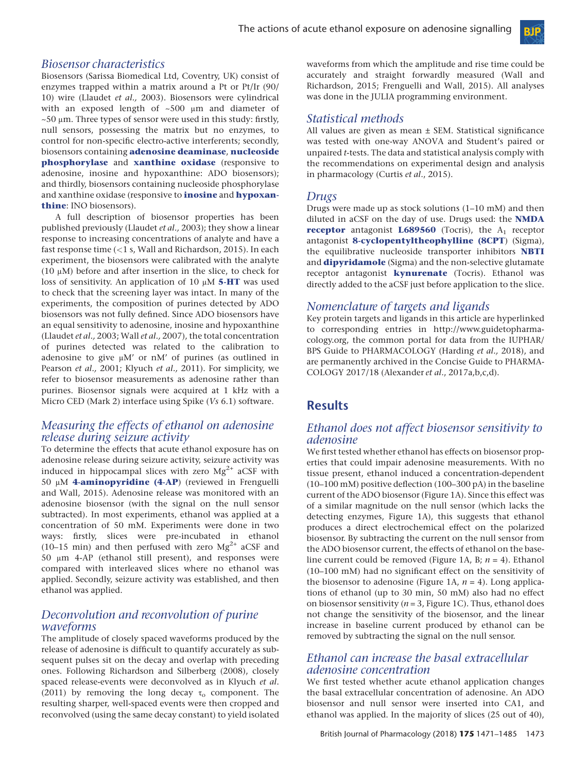#### *Biosensor characteristics*

Biosensors (Sarissa Biomedical Ltd, Coventry, UK) consist of enzymes trapped within a matrix around a Pt or Pt/Ir (90/ 10) wire (Llaudet *et al.,* 2003). Biosensors were cylindrical with an exposed length of ~500 μm and diameter of  $\sim$  50  $\mu$ m. Three types of sensor were used in this study: firstly, null sensors, possessing the matrix but no enzymes, to control for non-specific electro-active interferents; secondly, biosensors containing **[adenosine deaminase](http://www.guidetopharmacology.org/GRAC/ObjectDisplayForward?objectId=1230)**, **[nucleoside](http://www.guidetopharmacology.org/GRAC/ObjectDisplayForward?objectId=2841) [phosphorylase](http://www.guidetopharmacology.org/GRAC/ObjectDisplayForward?objectId=2841)** and **[xanthine oxidase](http://www.guidetopharmacology.org/GRAC/ObjectDisplayForward?objectId=2646&familyId=920&familyType=ENZYME)** (responsive to adenosine, inosine and hypoxanthine: ADO biosensors); and thirdly, biosensors containing nucleoside phosphorylase and xanthine oxidase (responsive to **[inosine](http://www.guidetopharmacology.org/GRAC/LigandDisplayForward?ligandId=4554)** and **[hypoxan](http://www.guidetopharmacology.org/GRAC/LigandDisplayForward?ligandId=4555)[thine](http://www.guidetopharmacology.org/GRAC/LigandDisplayForward?ligandId=4555)**: INO biosensors).

A full description of biosensor properties has been published previously (Llaudet *et al.,* 2003); they show a linear response to increasing concentrations of analyte and have a fast response time (*<*1 s, Wall and Richardson, 2015). In each experiment, the biosensors were calibrated with the analyte (10 μM) before and after insertion in the slice, to check for loss of sensitivity. An application of 10 μM **[5-HT](http://www.guidetopharmacology.org/GRAC/LigandDisplayForward?ligandId=5)** was used to check that the screening layer was intact. In many of the experiments, the composition of purines detected by ADO biosensors was not fully defined. Since ADO biosensors have an equal sensitivity to adenosine, inosine and hypoxanthine (Llaudet *et al.,* 2003; Wall *et al.,* 2007), the total concentration of purines detected was related to the calibration to adenosine to give μM' or nM' of purines (as outlined in Pearson *et al.,* 2001; Klyuch *et al.,* 2011). For simplicity, we refer to biosensor measurements as adenosine rather than purines. Biosensor signals were acquired at 1 kHz with a Micro CED (Mark 2) interface using Spike (*Vs* 6.1) software.

#### *Measuring the effects of ethanol on adenosine release during seizure activity*

To determine the effects that acute ethanol exposure has on adenosine release during seizure activity, seizure activity was induced in hippocampal slices with zero  $Mg^{2+}$  aCSF with 50 μM **[4-aminopyridine \(4-AP](http://www.guidetopharmacology.org/GRAC/LigandDisplayForward?ligandId=2416)**) (reviewed in Frenguelli and Wall, 2015). Adenosine release was monitored with an adenosine biosensor (with the signal on the null sensor subtracted). In most experiments, ethanol was applied at a concentration of 50 mM. Experiments were done in two ways: firstly, slices were pre-incubated in ethanol (10–15 min) and then perfused with zero  $Mg^{2+}$  aCSF and 50 μm 4-AP (ethanol still present), and responses were compared with interleaved slices where no ethanol was applied. Secondly, seizure activity was established, and then ethanol was applied.

#### *Deconvolution and reconvolution of purine waveforms*

The amplitude of closely spaced waveforms produced by the release of adenosine is difficult to quantify accurately as subsequent pulses sit on the decay and overlap with preceding ones. Following Richardson and Silberberg (2008), closely spaced release-events were deconvolved as in Klyuch *et al*. (2011) by removing the long decay  $\tau_0$  component. The resulting sharper, well-spaced events were then cropped and reconvolved (using the same decay constant) to yield isolated

waveforms from which the amplitude and rise time could be accurately and straight forwardly measured (Wall and Richardson, 2015; Frenguelli and Wall, 2015). All analyses was done in the JULIA programming environment.

**Bip** 

## *Statistical methods*

All values are given as mean ± SEM. Statistical significance was tested with one-way ANOVA and Student's paired or unpaired *t*-tests. The data and statistical analysis comply with the recommendations on experimental design and analysis in pharmacology (Curtis *et al*., 2015).

#### *Drugs*

Drugs were made up as stock solutions (1–10 mM) and then diluted in aCSF on the day of use. Drugs used: the **[NMDA](http://www.guidetopharmacology.org/GRAC/FamilyDisplayForward?familyId=75) [receptor](http://www.guidetopharmacology.org/GRAC/FamilyDisplayForward?familyId=75)** antagonist  $L689560$  (Tocris), the  $A_1$  receptor antagonist **[8-cyclopentyltheophylline \(8CPT](http://www.guidetopharmacology.org/GRAC/LigandDisplayForward?ligandId=385)**) (Sigma), the equilibrative nucleoside transporter inhibitors **[NBTI](http://www.guidetopharmacology.org/GRAC/LigandDisplayForward?ligandId=4512)** and **[dipyridamole](http://www.guidetopharmacology.org/GRAC/LigandDisplayForward?ligandId=4807)** (Sigma) and the non-selective glutamate receptor antagonist **[kynurenate](http://www.guidetopharmacology.org/GRAC/LigandDisplayForward?ligandId=2918)** (Tocris). Ethanol was directly added to the aCSF just before application to the slice.

#### *Nomenclature of targets and ligands*

Key protein targets and ligands in this article are hyperlinked to corresponding entries in [http://www.guidetopharma](http://www.guidetopharmacology.org)[cology.org](http://www.guidetopharmacology.org), the common portal for data from the IUPHAR/ BPS Guide to PHARMACOLOGY (Harding *et al.,* 2018), and are permanently archived in the Concise Guide to PHARMA-COLOGY 2017/18 (Alexander *et al*., 2017a,b,c,d).

## **Results**

### *Ethanol does not affect biosensor sensitivity to adenosine*

We first tested whether ethanol has effects on biosensor properties that could impair adenosine measurements. With no tissue present, ethanol induced a concentration-dependent (10–100 mM) positive deflection (100–300 pA) in the baseline current of the ADO biosensor (Figure 1A). Since this effect was of a similar magnitude on the null sensor (which lacks the detecting enzymes, Figure 1A), this suggests that ethanol produces a direct electrochemical effect on the polarized biosensor. By subtracting the current on the null sensor from the ADO biosensor current, the effects of ethanol on the baseline current could be removed (Figure 1A, B; *n* = 4). Ethanol (10–100 mM) had no significant effect on the sensitivity of the biosensor to adenosine (Figure 1A,  $n = 4$ ). Long applications of ethanol (up to 30 min, 50 mM) also had no effect on biosensor sensitivity (*n* = 3, Figure 1C). Thus, ethanol does not change the sensitivity of the biosensor, and the linear increase in baseline current produced by ethanol can be removed by subtracting the signal on the null sensor.

#### *Ethanol can increase the basal extracellular adenosine concentration*

We first tested whether acute ethanol application changes the basal extracellular concentration of adenosine. An ADO biosensor and null sensor were inserted into CA1, and ethanol was applied. In the majority of slices (25 out of 40),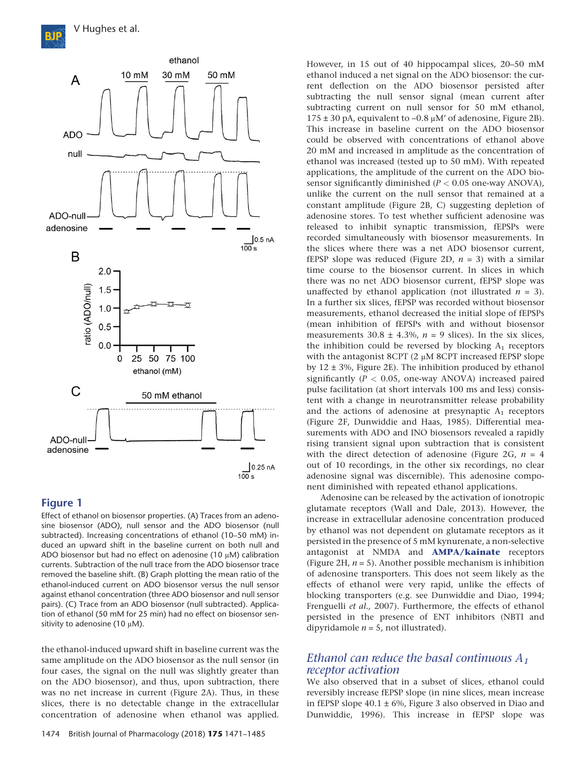

Effect of ethanol on biosensor properties. (A) Traces from an adenosine biosensor (ADO), null sensor and the ADO biosensor (null subtracted). Increasing concentrations of ethanol (10–50 mM) induced an upward shift in the baseline current on both null and ADO biosensor but had no effect on adenosine (10 μM) calibration currents. Subtraction of the null trace from the ADO biosensor trace removed the baseline shift. (B) Graph plotting the mean ratio of the ethanol-induced current on ADO biosensor versus the null sensor against ethanol concentration (three ADO biosensor and null sensor pairs). (C) Trace from an ADO biosensor (null subtracted). Application of ethanol (50 mM for 25 min) had no effect on biosensor sensitivity to adenosine (10  $\mu$ M).

the ethanol-induced upward shift in baseline current was the same amplitude on the ADO biosensor as the null sensor (in four cases, the signal on the null was slightly greater than on the ADO biosensor), and thus, upon subtraction, there was no net increase in current (Figure 2A). Thus, in these slices, there is no detectable change in the extracellular concentration of adenosine when ethanol was applied.

However, in 15 out of 40 hippocampal slices, 20–50 mM ethanol induced a net signal on the ADO biosensor: the current deflection on the ADO biosensor persisted after subtracting the null sensor signal (mean current after subtracting current on null sensor for 50 mM ethanol,  $175 \pm 30$  pA, equivalent to ~0.8  $\mu$ M' of adenosine, Figure 2B). This increase in baseline current on the ADO biosensor could be observed with concentrations of ethanol above 20 mM and increased in amplitude as the concentration of ethanol was increased (tested up to 50 mM). With repeated applications, the amplitude of the current on the ADO biosensor significantly diminished (*P <* 0.05 one-way ANOVA), unlike the current on the null sensor that remained at a constant amplitude (Figure 2B, C) suggesting depletion of adenosine stores. To test whether sufficient adenosine was released to inhibit synaptic transmission, fEPSPs were recorded simultaneously with biosensor measurements. In the slices where there was a net ADO biosensor current, fEPSP slope was reduced (Figure 2D,  $n = 3$ ) with a similar time course to the biosensor current. In slices in which there was no net ADO biosensor current, fEPSP slope was unaffected by ethanol application (not illustrated  $n = 3$ ). In a further six slices, fEPSP was recorded without biosensor measurements, ethanol decreased the initial slope of fEPSPs (mean inhibition of fEPSPs with and without biosensor measurements  $30.8 \pm 4.3$ %,  $n = 9$  slices). In the six slices, the inhibition could be reversed by blocking  $A_1$  receptors with the antagonist 8CPT (2 μM 8CPT increased fEPSP slope by  $12 \pm 3$ %, Figure 2E). The inhibition produced by ethanol significantly (*P <* 0.05, one-way ANOVA) increased paired pulse facilitation (at short intervals 100 ms and less) consistent with a change in neurotransmitter release probability and the actions of adenosine at presynaptic  $A_1$  receptors (Figure 2F, Dunwiddie and Haas, 1985). Differential measurements with ADO and INO biosensors revealed a rapidly rising transient signal upon subtraction that is consistent with the direct detection of adenosine (Figure 2G,  $n = 4$ ) out of 10 recordings, in the other six recordings, no clear adenosine signal was discernible). This adenosine component diminished with repeated ethanol applications.

Adenosine can be released by the activation of ionotropic glutamate receptors (Wall and Dale, 2013). However, the increase in extracellular adenosine concentration produced by ethanol was not dependent on glutamate receptors as it persisted in the presence of 5 mM kynurenate, a non-selective antagonist at NMDA and **[AMPA/kainate](http://www.guidetopharmacology.org/GRAC/FamilyDisplayForward?familyId=75)** receptors (Figure 2H, *n* = 5). Another possible mechanism is inhibition of adenosine transporters. This does not seem likely as the effects of ethanol were very rapid, unlike the effects of blocking transporters (e.g. see Dunwiddie and Diao, 1994; Frenguelli *et al.,* 2007). Furthermore, the effects of ethanol persisted in the presence of ENT inhibitors (NBTI and dipyridamole  $n = 5$ , not illustrated).

#### *Ethanol can reduce the basal continuous A1 receptor activation*

We also observed that in a subset of slices, ethanol could reversibly increase fEPSP slope (in nine slices, mean increase in fEPSP slope  $40.1 \pm 6\%$ , Figure 3 also observed in Diao and Dunwiddie, 1996). This increase in fEPSP slope was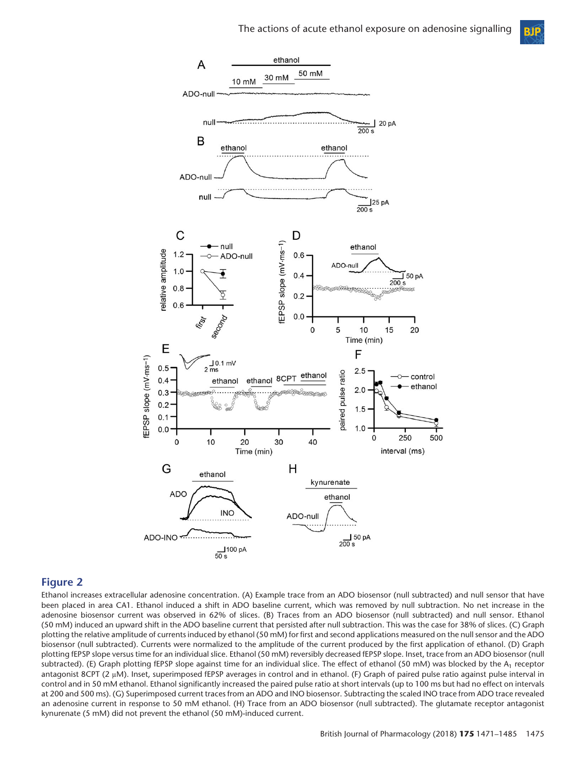**BIP** 



#### **Figure 2**

Ethanol increases extracellular adenosine concentration. (A) Example trace from an ADO biosensor (null subtracted) and null sensor that have been placed in area CA1. Ethanol induced a shift in ADO baseline current, which was removed by null subtraction. No net increase in the adenosine biosensor current was observed in 62% of slices. (B) Traces from an ADO biosensor (null subtracted) and null sensor. Ethanol (50 mM) induced an upward shift in the ADO baseline current that persisted after null subtraction. This was the case for 38% of slices. (C) Graph plotting the relative amplitude of currents induced by ethanol (50 mM) for first and second applications measured on the null sensor and the ADO biosensor (null subtracted). Currents were normalized to the amplitude of the current produced by the first application of ethanol. (D) Graph plotting fEPSP slope versus time for an individual slice. Ethanol (50 mM) reversibly decreased fEPSP slope. Inset, trace from an ADO biosensor (null subtracted). (E) Graph plotting fEPSP slope against time for an individual slice. The effect of ethanol (50 mM) was blocked by the  $A_1$  receptor antagonist 8CPT (2 μM). Inset, superimposed fEPSP averages in control and in ethanol. (F) Graph of paired pulse ratio against pulse interval in control and in 50 mM ethanol. Ethanol significantly increased the paired pulse ratio at short intervals (up to 100 ms but had no effect on intervals at 200 and 500 ms). (G) Superimposed current traces from an ADO and INO biosensor. Subtracting the scaled INO trace from ADO trace revealed an adenosine current in response to 50 mM ethanol. (H) Trace from an ADO biosensor (null subtracted). The glutamate receptor antagonist kynurenate (5 mM) did not prevent the ethanol (50 mM)-induced current.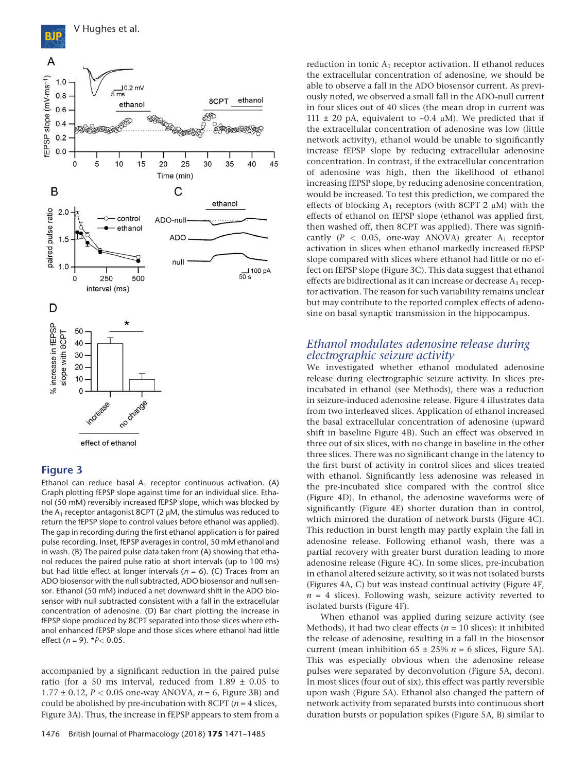



Ethanol can reduce basal  $A_1$  receptor continuous activation. (A) Graph plotting fEPSP slope against time for an individual slice. Ethanol (50 mM) reversibly increased fEPSP slope, which was blocked by the  $A_1$  receptor antagonist 8CPT (2  $\mu$ M, the stimulus was reduced to return the fEPSP slope to control values before ethanol was applied). The gap in recording during the first ethanol application is for paired pulse recording. Inset, fEPSP averages in control, 50 mM ethanol and in wash. (B) The paired pulse data taken from (A) showing that ethanol reduces the paired pulse ratio at short intervals (up to 100 ms) but had little effect at longer intervals (*n* = 6). (C) Traces from an ADO biosensor with the null subtracted, ADO biosensor and null sensor. Ethanol (50 mM) induced a net downward shift in the ADO biosensor with null subtracted consistent with a fall in the extracellular concentration of adenosine. (D) Bar chart plotting the increase in fEPSP slope produced by 8CPT separated into those slices where ethanol enhanced fEPSP slope and those slices where ethanol had little effect (*n* = 9). \**P<* 0.05.

accompanied by a significant reduction in the paired pulse ratio (for a 50 ms interval, reduced from  $1.89 \pm 0.05$  to 1.77 ± 0.12, *P <* 0.05 one-way ANOVA, *n* = 6, Figure 3B) and could be abolished by pre-incubation with 8CPT (*n* = 4 slices, Figure 3A). Thus, the increase in fEPSP appears to stem from a reduction in tonic  $A_1$  receptor activation. If ethanol reduces the extracellular concentration of adenosine, we should be able to observe a fall in the ADO biosensor current. As previously noted, we observed a small fall in the ADO-null current in four slices out of 40 slices (the mean drop in current was 111  $\pm$  20 pA, equivalent to ~0.4  $\mu$ M). We predicted that if the extracellular concentration of adenosine was low (little network activity), ethanol would be unable to significantly increase fEPSP slope by reducing extracellular adenosine concentration. In contrast, if the extracellular concentration of adenosine was high, then the likelihood of ethanol increasing fEPSP slope, by reducing adenosine concentration, would be increased. To test this prediction, we compared the effects of blocking  $A_1$  receptors (with 8CPT 2  $\mu$ M) with the effects of ethanol on fEPSP slope (ethanol was applied first, then washed off, then 8CPT was applied). There was significantly ( $P$  < 0.05, one-way ANOVA) greater  $A_1$  receptor activation in slices when ethanol markedly increased fEPSP slope compared with slices where ethanol had little or no effect on fEPSP slope (Figure 3C). This data suggest that ethanol effects are bidirectional as it can increase or decrease  $A_1$  receptor activation. The reason for such variability remains unclear but may contribute to the reported complex effects of adenosine on basal synaptic transmission in the hippocampus.

## *Ethanol modulates adenosine release during electrographic seizure activity*

We investigated whether ethanol modulated adenosine release during electrographic seizure activity. In slices preincubated in ethanol (see Methods), there was a reduction in seizure-induced adenosine release. Figure 4 illustrates data from two interleaved slices. Application of ethanol increased the basal extracellular concentration of adenosine (upward shift in baseline Figure 4B). Such an effect was observed in three out of six slices, with no change in baseline in the other three slices. There was no significant change in the latency to the first burst of activity in control slices and slices treated with ethanol. Significantly less adenosine was released in the pre-incubated slice compared with the control slice (Figure 4D). In ethanol, the adenosine waveforms were of significantly (Figure 4E) shorter duration than in control, which mirrored the duration of network bursts (Figure 4C). This reduction in burst length may partly explain the fall in adenosine release. Following ethanol wash, there was a partial recovery with greater burst duration leading to more adenosine release (Figure 4C). In some slices, pre-incubation in ethanol altered seizure activity, so it was not isolated bursts (Figures 4A, C) but was instead continual activity (Figure 4F,  $n = 4$  slices). Following wash, seizure activity reverted to isolated bursts (Figure 4F).

When ethanol was applied during seizure activity (see Methods), it had two clear effects ( $n = 10$  slices): it inhibited the release of adenosine, resulting in a fall in the biosensor current (mean inhibition  $65 \pm 25\%$   $n = 6$  slices, Figure 5A). This was especially obvious when the adenosine release pulses were separated by deconvolution (Figure 5A, decon). In most slices (four out of six), this effect was partly reversible upon wash (Figure 5A). Ethanol also changed the pattern of network activity from separated bursts into continuous short duration bursts or population spikes (Figure 5A, B) similar to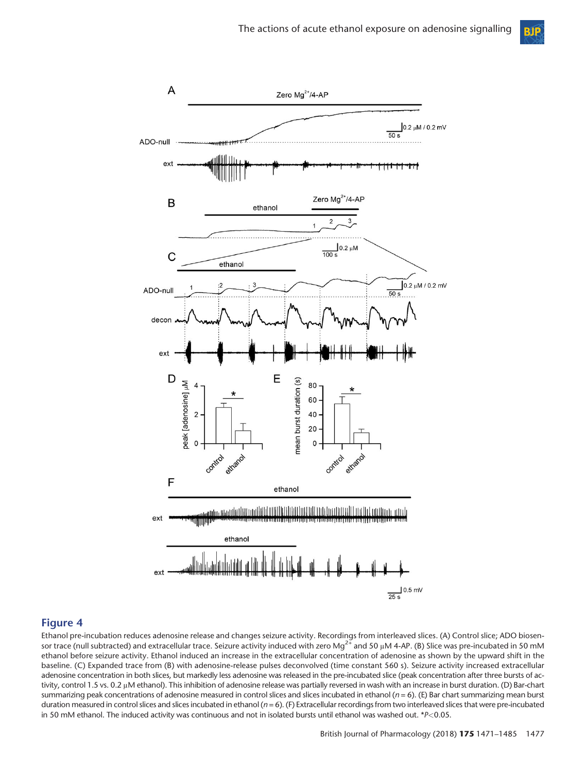



Ethanol pre-incubation reduces adenosine release and changes seizure activity. Recordings from interleaved slices. (A) Control slice; ADO biosensor trace (null subtracted) and extracellular trace. Seizure activity induced with zero Mg<sup>2+</sup> and 50 μM 4-AP. (Β) Slice was pre-incubated in 50 mM ethanol before seizure activity. Ethanol induced an increase in the extracellular concentration of adenosine as shown by the upward shift in the baseline. (C) Expanded trace from (B) with adenosine-release pulses deconvolved (time constant 560 s). Seizure activity increased extracellular adenosine concentration in both slices, but markedly less adenosine was released in the pre-incubated slice (peak concentration after three bursts of activity, control 1.5 vs. 0.2 μM ethanol). This inhibition of adenosine release was partially reversed in wash with an increase in burst duration. (D) Bar-chart summarizing peak concentrations of adenosine measured in control slices and slices incubated in ethanol (*n* = 6). (E) Bar chart summarizing mean burst duration measured in control slices and slices incubated in ethanol ( $n = 6$ ). (F) Extracellular recordings from two interleaved slices that were pre-incubated in 50 mM ethanol. The induced activity was continuous and not in isolated bursts until ethanol was washed out. \**P<*0.05.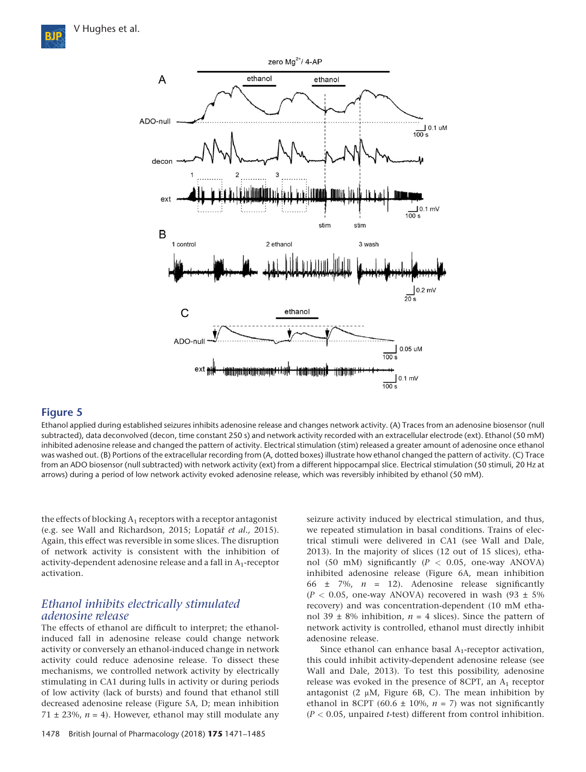

Ethanol applied during established seizures inhibits adenosine release and changes network activity. (A) Traces from an adenosine biosensor (null subtracted), data deconvolved (decon, time constant 250 s) and network activity recorded with an extracellular electrode (ext). Ethanol (50 mM) inhibited adenosine release and changed the pattern of activity. Electrical stimulation (stim) released a greater amount of adenosine once ethanol was washed out. (B) Portions of the extracellular recording from (A, dotted boxes) illustrate how ethanol changed the pattern of activity. (C) Trace from an ADO biosensor (null subtracted) with network activity (ext) from a different hippocampal slice. Electrical stimulation (50 stimuli, 20 Hz at arrows) during a period of low network activity evoked adenosine release, which was reversibly inhibited by ethanol (50 mM).

the effects of blocking  $A_1$  receptors with a receptor antagonist (e.g. see Wall and Richardson, 2015; Lopatář *et al.,* 2015). Again, this effect was reversible in some slices. The disruption of network activity is consistent with the inhibition of activity-dependent adenosine release and a fall in  $A_1$ -receptor activation.

## *Ethanol inhibits electrically stimulated adenosine release*

The effects of ethanol are difficult to interpret; the ethanolinduced fall in adenosine release could change network activity or conversely an ethanol-induced change in network activity could reduce adenosine release. To dissect these mechanisms, we controlled network activity by electrically stimulating in CA1 during lulls in activity or during periods of low activity (lack of bursts) and found that ethanol still decreased adenosine release (Figure 5A, D; mean inhibition 71  $\pm$  23%,  $n = 4$ ). However, ethanol may still modulate any

seizure activity induced by electrical stimulation, and thus, we repeated stimulation in basal conditions. Trains of electrical stimuli were delivered in CA1 (see Wall and Dale, 2013). In the majority of slices (12 out of 15 slices), ethanol (50 mM) significantly (*P <* 0.05, one-way ANOVA) inhibited adenosine release (Figure 6A, mean inhibition 66 ± 7%, *n* = 12). Adenosine release significantly  $(P < 0.05$ , one-way ANOVA) recovered in wash  $(93 \pm 5\%)$ recovery) and was concentration-dependent (10 mM ethanol 39  $\pm$  8% inhibition,  $n = 4$  slices). Since the pattern of network activity is controlled, ethanol must directly inhibit adenosine release.

Since ethanol can enhance basal  $A_1$ -receptor activation, this could inhibit activity-dependent adenosine release (see Wall and Dale, 2013). To test this possibility, adenosine release was evoked in the presence of 8CPT, an  $A_1$  receptor antagonist (2  $\mu$ M, Figure 6B, C). The mean inhibition by ethanol in 8CPT (60.6  $\pm$  10%, *n* = 7) was not significantly (*P <* 0.05, unpaired *t*-test) different from control inhibition.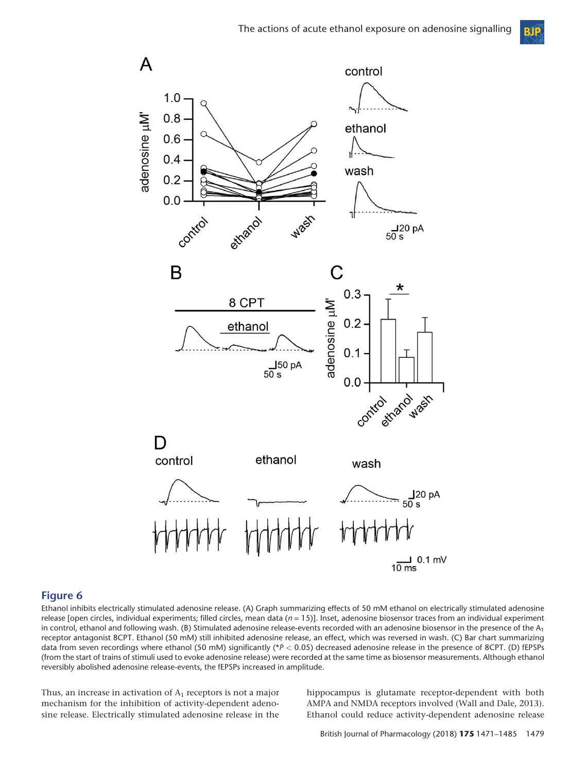

Ethanol inhibits electrically stimulated adenosine release. (A) Graph summarizing effects of 50 mM ethanol on electrically stimulated adenosine release [open circles, individual experiments; filled circles, mean data (*n* = 15)]. Inset, adenosine biosensor traces from an individual experiment in control, ethanol and following wash. (B) Stimulated adenosine release-events recorded with an adenosine biosensor in the presence of the  $A_1$ receptor antagonist 8CPT. Ethanol (50 mM) still inhibited adenosine release, an effect, which was reversed in wash. (C) Bar chart summarizing data from seven recordings where ethanol (50 mM) significantly (\**P <* 0.05) decreased adenosine release in the presence of 8CPT. (D) fEPSPs (from the start of trains of stimuli used to evoke adenosine release) were recorded at the same time as biosensor measurements. Although ethanol reversibly abolished adenosine release-events, the fEPSPs increased in amplitude.

Thus, an increase in activation of  $A_1$  receptors is not a major mechanism for the inhibition of activity-dependent adenosine release. Electrically stimulated adenosine release in the

hippocampus is glutamate receptor-dependent with both AMPA and NMDA receptors involved (Wall and Dale, 2013). Ethanol could reduce activity-dependent adenosine release

**BIP**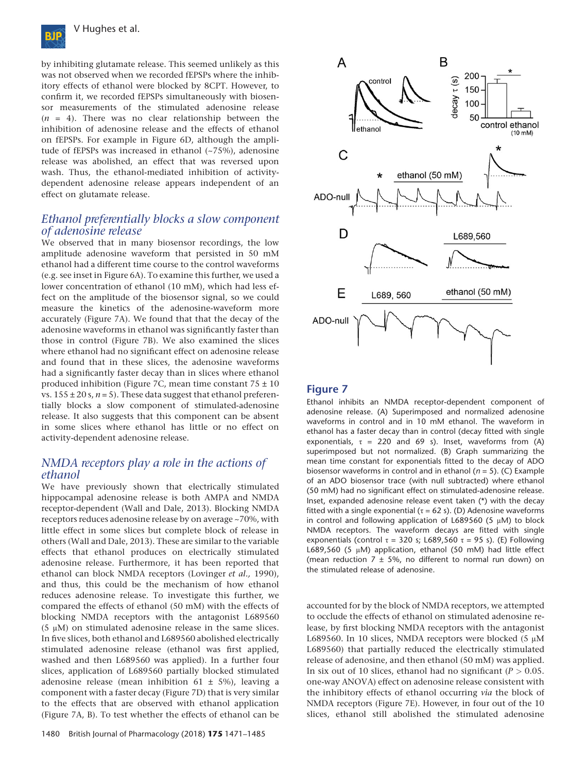

by inhibiting glutamate release. This seemed unlikely as this was not observed when we recorded fEPSPs where the inhibitory effects of ethanol were blocked by 8CPT. However, to confirm it, we recorded fEPSPs simultaneously with biosensor measurements of the stimulated adenosine release  $(n = 4)$ . There was no clear relationship between the inhibition of adenosine release and the effects of ethanol on fEPSPs. For example in Figure 6D, although the amplitude of fEPSPs was increased in ethanol (~75%), adenosine release was abolished, an effect that was reversed upon wash. Thus, the ethanol-mediated inhibition of activitydependent adenosine release appears independent of an effect on glutamate release.

## *Ethanol preferentially blocks a slow component of adenosine release*

We observed that in many biosensor recordings, the low amplitude adenosine waveform that persisted in 50 mM ethanol had a different time course to the control waveforms (e.g. see inset in Figure 6A). To examine this further, we used a lower concentration of ethanol (10 mM), which had less effect on the amplitude of the biosensor signal, so we could measure the kinetics of the adenosine-waveform more accurately (Figure 7A). We found that that the decay of the adenosine waveforms in ethanol was significantly faster than those in control (Figure 7B). We also examined the slices where ethanol had no significant effect on adenosine release and found that in these slices, the adenosine waveforms had a significantly faster decay than in slices where ethanol produced inhibition (Figure 7C, mean time constant  $75 \pm 10$ ) vs.  $155 \pm 20$  s,  $n = 5$ ). These data suggest that ethanol preferentially blocks a slow component of stimulated-adenosine release. It also suggests that this component can be absent in some slices where ethanol has little or no effect on activity-dependent adenosine release.

## *NMDA receptors play a role in the actions of ethanol*

We have previously shown that electrically stimulated hippocampal adenosine release is both AMPA and NMDA receptor-dependent (Wall and Dale, 2013). Blocking NMDA receptors reduces adenosine release by on average ~70%, with little effect in some slices but complete block of release in others (Wall and Dale, 2013). These are similar to the variable effects that ethanol produces on electrically stimulated adenosine release. Furthermore, it has been reported that ethanol can block NMDA receptors (Lovinger *et al.,* 1990), and thus, this could be the mechanism of how ethanol reduces adenosine release. To investigate this further, we compared the effects of ethanol (50 mM) with the effects of blocking NMDA receptors with the antagonist L689560 (5 μM) on stimulated adenosine release in the same slices. In five slices, both ethanol and L689560 abolished electrically stimulated adenosine release (ethanol was first applied, washed and then L689560 was applied). In a further four slices, application of L689560 partially blocked stimulated adenosine release (mean inhibition 61  $\pm$  5%), leaving a component with a faster decay (Figure 7D) that is very similar to the effects that are observed with ethanol application (Figure 7A, B). To test whether the effects of ethanol can be



#### **Figure 7**

Ethanol inhibits an NMDA receptor-dependent component of adenosine release. (A) Superimposed and normalized adenosine waveforms in control and in 10 mM ethanol. The waveform in ethanol has a faster decay than in control (decay fitted with single exponentials,  $\tau = 220$  and 69 s). Inset, waveforms from (A) superimposed but not normalized. (B) Graph summarizing the mean time constant for exponentials fitted to the decay of ADO biosensor waveforms in control and in ethanol (*n* = 5). (C) Example of an ADO biosensor trace (with null subtracted) where ethanol (50 mM) had no significant effect on stimulated-adenosine release. Inset, expanded adenosine release event taken (\*) with the decay fitted with a single exponential ( $τ = 62$  s). (D) Adenosine waveforms in control and following application of L689560 (5 μM) to block NMDA receptors. The waveform decays are fitted with single exponentials (control  $\tau = 320$  s; L689,560  $\tau = 95$  s). (E) Following L689,560 (5 μM) application, ethanol (50 mM) had little effect (mean reduction  $7 \pm 5$ %, no different to normal run down) on the stimulated release of adenosine.

accounted for by the block of NMDA receptors, we attempted to occlude the effects of ethanol on stimulated adenosine release, by first blocking NMDA receptors with the antagonist L689560. In 10 slices, NMDA receptors were blocked (5 μM L689560) that partially reduced the electrically stimulated release of adenosine, and then ethanol (50 mM) was applied. In six out of 10 slices, ethanol had no significant ( $P > 0.05$ . one-way ANOVA) effect on adenosine release consistent with the inhibitory effects of ethanol occurring *via* the block of NMDA receptors (Figure 7E). However, in four out of the 10 slices, ethanol still abolished the stimulated adenosine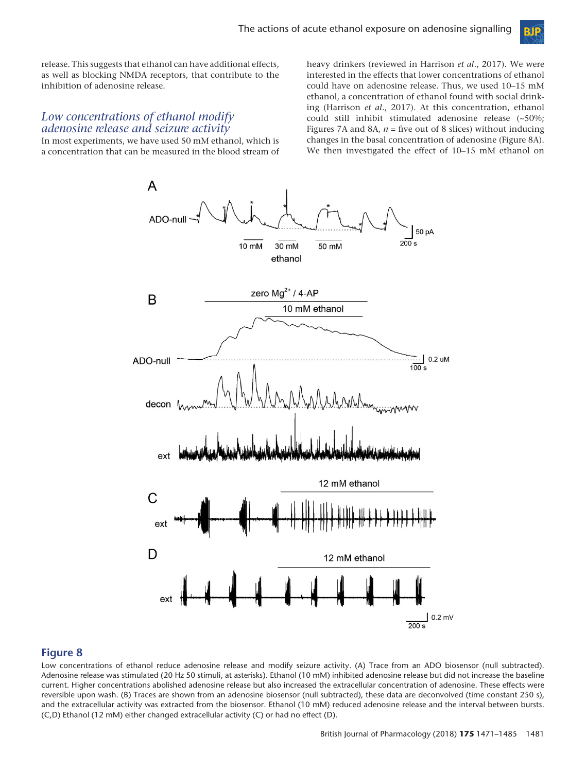

release. This suggests that ethanol can have additional effects, as well as blocking NMDA receptors, that contribute to the inhibition of adenosine release.

## *Low concentrations of ethanol modify adenosine release and seizure activity*

In most experiments, we have used 50 mM ethanol, which is a concentration that can be measured in the blood stream of heavy drinkers (reviewed in Harrison *et al*., 2017). We were interested in the effects that lower concentrations of ethanol could have on adenosine release. Thus, we used 10–15 mM ethanol, a concentration of ethanol found with social drinking (Harrison *et al*., 2017). At this concentration, ethanol could still inhibit stimulated adenosine release (~50%; Figures 7A and 8A, *n* = five out of 8 slices) without inducing changes in the basal concentration of adenosine (Figure 8A). We then investigated the effect of 10–15 mM ethanol on



#### **Figure 8**

Low concentrations of ethanol reduce adenosine release and modify seizure activity. (A) Trace from an ADO biosensor (null subtracted). Adenosine release was stimulated (20 Hz 50 stimuli, at asterisks). Ethanol (10 mM) inhibited adenosine release but did not increase the baseline current. Higher concentrations abolished adenosine release but also increased the extracellular concentration of adenosine. These effects were reversible upon wash. (B) Traces are shown from an adenosine biosensor (null subtracted), these data are deconvolved (time constant 250 s), and the extracellular activity was extracted from the biosensor. Ethanol (10 mM) reduced adenosine release and the interval between bursts. (C,D) Ethanol (12 mM) either changed extracellular activity (C) or had no effect (D).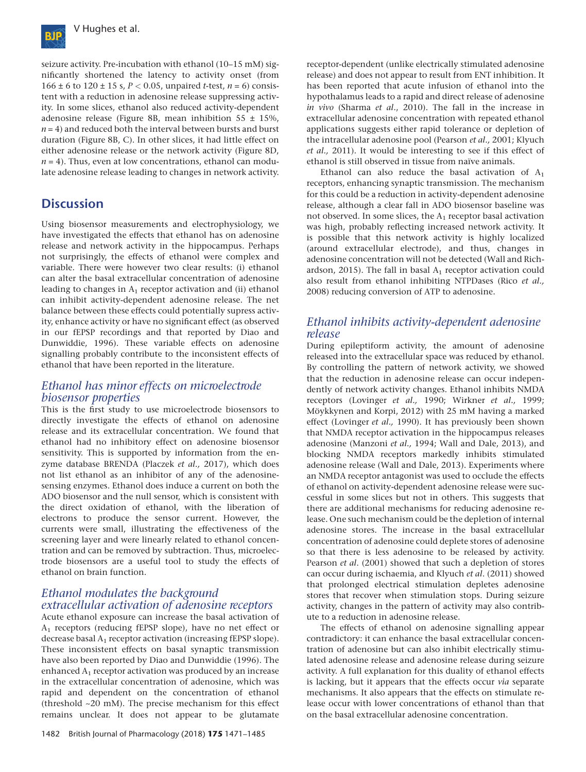

seizure activity. Pre-incubation with ethanol (10–15 mM) significantly shortened the latency to activity onset (from 166  $\pm$  6 to 120  $\pm$  15 s, *P* < 0.05, unpaired *t*-test, *n* = 6) consistent with a reduction in adenosine release suppressing activity. In some slices, ethanol also reduced activity-dependent adenosine release (Figure 8B, mean inhibition  $55 \pm 15\%$ ).  $n = 4$ ) and reduced both the interval between bursts and burst duration (Figure 8B, C). In other slices, it had little effect on either adenosine release or the network activity (Figure 8D,  $n = 4$ ). Thus, even at low concentrations, ethanol can modulate adenosine release leading to changes in network activity.

## **Discussion**

Using biosensor measurements and electrophysiology, we have investigated the effects that ethanol has on adenosine release and network activity in the hippocampus. Perhaps not surprisingly, the effects of ethanol were complex and variable. There were however two clear results: (i) ethanol can alter the basal extracellular concentration of adenosine leading to changes in  $A_1$  receptor activation and (ii) ethanol can inhibit activity-dependent adenosine release. The net balance between these effects could potentially supress activity, enhance activity or have no significant effect (as observed in our fEPSP recordings and that reported by Diao and Dunwiddie, 1996). These variable effects on adenosine signalling probably contribute to the inconsistent effects of ethanol that have been reported in the literature.

## *Ethanol has minor effects on microelectrode biosensor properties*

This is the first study to use microelectrode biosensors to directly investigate the effects of ethanol on adenosine release and its extracellular concentration. We found that ethanol had no inhibitory effect on adenosine biosensor sensitivity. This is supported by information from the enzyme database BRENDA (Placzek *et al.,* 2017), which does not list ethanol as an inhibitor of any of the adenosinesensing enzymes. Ethanol does induce a current on both the ADO biosensor and the null sensor, which is consistent with the direct oxidation of ethanol, with the liberation of electrons to produce the sensor current. However, the currents were small, illustrating the effectiveness of the screening layer and were linearly related to ethanol concentration and can be removed by subtraction. Thus, microelectrode biosensors are a useful tool to study the effects of ethanol on brain function.

## *Ethanol modulates the background extracellular activation of adenosine receptors*

Acute ethanol exposure can increase the basal activation of A1 receptors (reducing fEPSP slope), have no net effect or decrease basal  $A_1$  receptor activation (increasing fEPSP slope). These inconsistent effects on basal synaptic transmission have also been reported by Diao and Dunwiddie (1996). The enhanced  $A_1$  receptor activation was produced by an increase in the extracellular concentration of adenosine, which was rapid and dependent on the concentration of ethanol (threshold ~20 mM). The precise mechanism for this effect remains unclear. It does not appear to be glutamate receptor-dependent (unlike electrically stimulated adenosine release) and does not appear to result from ENT inhibition. It has been reported that acute infusion of ethanol into the hypothalamus leads to a rapid and direct release of adenosine *in vivo* (Sharma *et al*., 2010). The fall in the increase in extracellular adenosine concentration with repeated ethanol applications suggests either rapid tolerance or depletion of the intracellular adenosine pool (Pearson *et al.,* 2001; Klyuch *et al.,* 2011). It would be interesting to see if this effect of ethanol is still observed in tissue from naïve animals.

Ethanol can also reduce the basal activation of  $A_1$ receptors, enhancing synaptic transmission. The mechanism for this could be a reduction in activity-dependent adenosine release, although a clear fall in ADO biosensor baseline was not observed. In some slices, the  $A_1$  receptor basal activation was high, probably reflecting increased network activity. It is possible that this network activity is highly localized (around extracellular electrode), and thus, changes in adenosine concentration will not be detected (Wall and Richardson, 2015). The fall in basal  $A_1$  receptor activation could also result from ethanol inhibiting NTPDases (Rico *et al.,* 2008) reducing conversion of ATP to adenosine.

## *Ethanol inhibits activity-dependent adenosine release*

During epileptiform activity, the amount of adenosine released into the extracellular space was reduced by ethanol. By controlling the pattern of network activity, we showed that the reduction in adenosine release can occur independently of network activity changes. Ethanol inhibits NMDA receptors (Lovinger *et al.,* 1990; Wirkner *et al.,* 1999; Möykkynen and Korpi, 2012) with 25 mM having a marked effect (Lovinger *et al.,* 1990). It has previously been shown that NMDA receptor activation in the hippocampus releases adenosine (Manzoni *et al.,* 1994; Wall and Dale, 2013), and blocking NMDA receptors markedly inhibits stimulated adenosine release (Wall and Dale, 2013). Experiments where an NMDA receptor antagonist was used to occlude the effects of ethanol on activity-dependent adenosine release were successful in some slices but not in others. This suggests that there are additional mechanisms for reducing adenosine release. One such mechanism could be the depletion of internal adenosine stores. The increase in the basal extracellular concentration of adenosine could deplete stores of adenosine so that there is less adenosine to be released by activity. Pearson *et al*. (2001) showed that such a depletion of stores can occur during ischaemia, and Klyuch *et al*. (2011) showed that prolonged electrical stimulation depletes adenosine stores that recover when stimulation stops. During seizure activity, changes in the pattern of activity may also contribute to a reduction in adenosine release.

The effects of ethanol on adenosine signalling appear contradictory: it can enhance the basal extracellular concentration of adenosine but can also inhibit electrically stimulated adenosine release and adenosine release during seizure activity. A full explanation for this duality of ethanol effects is lacking, but it appears that the effects occur *via* separate mechanisms. It also appears that the effects on stimulate release occur with lower concentrations of ethanol than that on the basal extracellular adenosine concentration.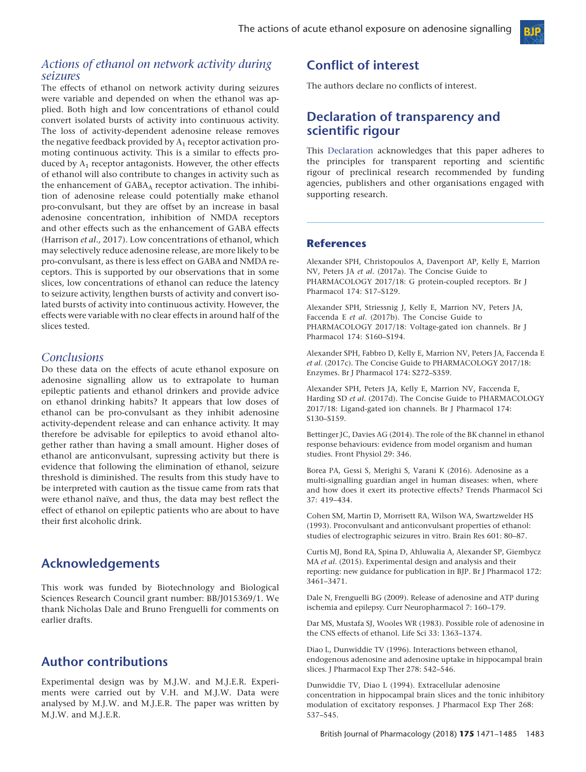#### *Actions of ethanol on network activity during seizures*

The effects of ethanol on network activity during seizures were variable and depended on when the ethanol was applied. Both high and low concentrations of ethanol could convert isolated bursts of activity into continuous activity. The loss of activity-dependent adenosine release removes the negative feedback provided by  $A_1$  receptor activation promoting continuous activity. This is a similar to effects produced by  $A_1$  receptor antagonists. However, the other effects of ethanol will also contribute to changes in activity such as the enhancement of GABA<sub>A</sub> receptor activation. The inhibition of adenosine release could potentially make ethanol pro-convulsant, but they are offset by an increase in basal adenosine concentration, inhibition of NMDA receptors and other effects such as the enhancement of GABA effects (Harrison *et al.,* 2017). Low concentrations of ethanol, which may selectively reduce adenosine release, are more likely to be pro-convulsant, as there is less effect on GABA and NMDA receptors. This is supported by our observations that in some slices, low concentrations of ethanol can reduce the latency to seizure activity, lengthen bursts of activity and convert isolated bursts of activity into continuous activity. However, the effects were variable with no clear effects in around half of the slices tested.

## *Conclusions*

Do these data on the effects of acute ethanol exposure on adenosine signalling allow us to extrapolate to human epileptic patients and ethanol drinkers and provide advice on ethanol drinking habits? It appears that low doses of ethanol can be pro-convulsant as they inhibit adenosine activity-dependent release and can enhance activity. It may therefore be advisable for epileptics to avoid ethanol altogether rather than having a small amount. Higher doses of ethanol are anticonvulsant, supressing activity but there is evidence that following the elimination of ethanol, seizure threshold is diminished. The results from this study have to be interpreted with caution as the tissue came from rats that were ethanol naïve, and thus, the data may best reflect the effect of ethanol on epileptic patients who are about to have their first alcoholic drink.

## **Acknowledgements**

This work was funded by Biotechnology and Biological Sciences Research Council grant number: BB/J015369/1. We thank Nicholas Dale and Bruno Frenguelli for comments on earlier drafts.

## **Author contributions**

Experimental design was by M.J.W. and M.J.E.R. Experiments were carried out by V.H. and M.J.W. Data were analysed by M.J.W. and M.J.E.R. The paper was written by M.J.W. and M.J.E.R.

# **Conflict of interest**

The authors declare no conflicts of interest.

# **Declaration of transparency and scientific rigour**

This [Declaration](http://onlinelibrary.wiley.com/doi/10.1111/bph.13405/abstract) acknowledges that this paper adheres to the principles for transparent reporting and scientific rigour of preclinical research recommended by funding agencies, publishers and other organisations engaged with supporting research.

#### **References**

Alexander SPH, Christopoulos A, Davenport AP, Kelly E, Marrion NV, Peters JA *et al*. (2017a). The Concise Guide to PHARMACOLOGY 2017/18: G protein-coupled receptors. Br J Pharmacol 174: S17–S129.

Alexander SPH, Striessnig J, Kelly E, Marrion NV, Peters JA, Faccenda E *et al*. (2017b). The Concise Guide to PHARMACOLOGY 2017/18: Voltage-gated ion channels. Br J Pharmacol 174: S160–S194.

Alexander SPH, Fabbro D, Kelly E, Marrion NV, Peters JA, Faccenda E *et al*. (2017c). The Concise Guide to PHARMACOLOGY 2017/18: Enzymes. Br J Pharmacol 174: S272–S359.

Alexander SPH, Peters JA, Kelly E, Marrion NV, Faccenda E, Harding SD *et al*. (2017d). The Concise Guide to PHARMACOLOGY 2017/18: Ligand-gated ion channels. Br J Pharmacol 174: S130–S159.

Bettinger JC, Davies AG (2014). The role of the BK channel in ethanol response behaviours: evidence from model organism and human studies. Front Physiol 29: 346.

Borea PA, Gessi S, Merighi S, Varani K (2016). Adenosine as a multi-signalling guardian angel in human diseases: when, where and how does it exert its protective effects? Trends Pharmacol Sci 37: 419–434.

Cohen SM, Martin D, Morrisett RA, Wilson WA, Swartzwelder HS (1993). Proconvulsant and anticonvulsant properties of ethanol: studies of electrographic seizures in vitro. Brain Res 601: 80–87.

Curtis MJ, Bond RA, Spina D, Ahluwalia A, Alexander SP, Giembycz MA *et al*. (2015). Experimental design and analysis and their reporting: new guidance for publication in BJP. Br J Pharmacol 172: 3461–3471.

Dale N, Frenguelli BG (2009). Release of adenosine and ATP during ischemia and epilepsy. Curr Neuropharmacol 7: 160–179.

Dar MS, Mustafa SJ, Wooles WR (1983). Possible role of adenosine in the CNS effects of ethanol. Life Sci 33: 1363–1374.

Diao L, Dunwiddie TV (1996). Interactions between ethanol, endogenous adenosine and adenosine uptake in hippocampal brain slices. J Pharmacol Exp Ther 278: 542–546.

Dunwiddie TV, Diao L (1994). Extracellular adenosine concentration in hippocampal brain slices and the tonic inhibitory modulation of excitatory responses. J Pharmacol Exp Ther 268: 537–545.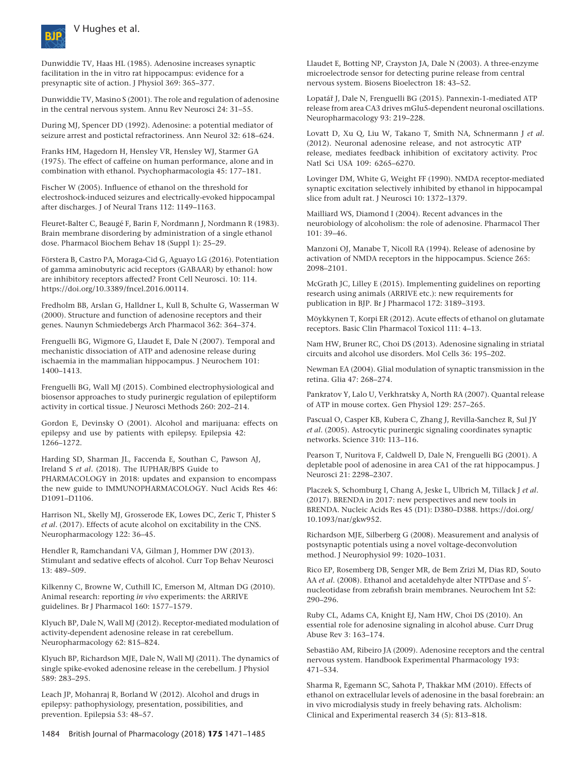

Dunwiddie TV, Haas HL (1985). Adenosine increases synaptic facilitation in the in vitro rat hippocampus: evidence for a presynaptic site of action. J Physiol 369: 365–377.

Dunwiddie TV, Masino S (2001). The role and regulation of adenosine in the central nervous system. Annu Rev Neurosci 24: 31–55.

During MJ, Spencer DD (1992). Adenosine: a potential mediator of seizure arrest and postictal refractoriness. Ann Neurol 32: 618–624.

Franks HM, Hagedorn H, Hensley VR, Hensley WJ, Starmer GA (1975). The effect of caffeine on human performance, alone and in combination with ethanol. Psychopharmacologia 45: 177–181.

Fischer W (2005). Influence of ethanol on the threshold for electroshock-induced seizures and electrically-evoked hippocampal after discharges. J of Neural Trans 112: 1149–1163.

Fleuret-Balter C, Beaugé F, Barin F, Nordmann J, Nordmann R (1983). Brain membrane disordering by administration of a single ethanol dose. Pharmacol Biochem Behav 18 (Suppl 1): 25–29.

Förstera B, Castro PA, Moraga-Cid G, Aguayo LG (2016). Potentiation of gamma aminobutyric acid receptors (GABAAR) by ethanol: how are inhibitory receptors affected? Front Cell Neurosci. 10: 114. <https://doi.org/10.3389/fncel.2016.00114>.

Fredholm BB, Arslan G, Halldner L, Kull B, Schulte G, Wasserman W (2000). Structure and function of adenosine receptors and their genes. Naunyn Schmiedebergs Arch Pharmacol 362: 364–374.

Frenguelli BG, Wigmore G, Llaudet E, Dale N (2007). Temporal and mechanistic dissociation of ATP and adenosine release during ischaemia in the mammalian hippocampus. J Neurochem 101: 1400–1413.

Frenguelli BG, Wall MJ (2015). Combined electrophysiological and biosensor approaches to study purinergic regulation of epileptiform activity in cortical tissue. J Neurosci Methods 260: 202–214.

Gordon E, Devinsky O (2001). Alcohol and marijuana: effects on epilepsy and use by patients with epilepsy. Epilepsia 42: 1266–1272.

Harding SD, Sharman JL, Faccenda E, Southan C, Pawson AJ, Ireland S *et al*. (2018). The IUPHAR/BPS Guide to PHARMACOLOGY in 2018: updates and expansion to encompass the new guide to IMMUNOPHARMACOLOGY. Nucl Acids Res 46: D1091–D1106.

Harrison NL, Skelly MJ, Grosserode EK, Lowes DC, Zeric T, Phister S *et al*. (2017). Effects of acute alcohol on excitability in the CNS. Neuropharmacology 122: 36–45.

Hendler R, Ramchandani VA, Gilman J, Hommer DW (2013). Stimulant and sedative effects of alcohol. Curr Top Behav Neurosci 13: 489–509.

Kilkenny C, Browne W, Cuthill IC, Emerson M, Altman DG (2010). Animal research: reporting *in vivo* experiments: the ARRIVE guidelines. Br J Pharmacol 160: 1577–1579.

Klyuch BP, Dale N, Wall MJ (2012). Receptor-mediated modulation of activity-dependent adenosine release in rat cerebellum. Neuropharmacology 62: 815–824.

Klyuch BP, Richardson MJE, Dale N, Wall MJ (2011). The dynamics of single spike-evoked adenosine release in the cerebellum. J Physiol 589: 283–295.

Leach JP, Mohanraj R, Borland W (2012). Alcohol and drugs in epilepsy: pathophysiology, presentation, possibilities, and prevention. Epilepsia 53: 48–57.

Llaudet E, Botting NP, Crayston JA, Dale N (2003). A three-enzyme microelectrode sensor for detecting purine release from central nervous system. Biosens Bioelectron 18: 43–52.

Lopatář J, Dale N, Frenguelli BG (2015). Pannexin-1-mediated ATP release from area CA3 drives mGlu5-dependent neuronal oscillations. Neuropharmacology 93: 219–228.

Lovatt D, Xu Q, Liu W, Takano T, Smith NA, Schnermann J *et al*. (2012). Neuronal adenosine release, and not astrocytic ATP release, mediates feedback inhibition of excitatory activity. Proc Natl Sci USA 109: 6265–6270.

Lovinger DM, White G, Weight FF (1990). NMDA receptor-mediated synaptic excitation selectively inhibited by ethanol in hippocampal slice from adult rat. J Neurosci 10: 1372–1379.

Mailliard WS, Diamond I (2004). Recent advances in the neurobiology of alcoholism: the role of adenosine. Pharmacol Ther 101: 39–46.

Manzoni OJ, Manabe T, Nicoll RA (1994). Release of adenosine by activation of NMDA receptors in the hippocampus. Science 265: 2098–2101.

McGrath JC, Lilley E (2015). Implementing guidelines on reporting research using animals (ARRIVE etc.): new requirements for publication in BJP. Br J Pharmacol 172: 3189–3193.

Möykkynen T, Korpi ER (2012). Acute effects of ethanol on glutamate receptors. Basic Clin Pharmacol Toxicol 111: 4–13.

Nam HW, Bruner RC, Choi DS (2013). Adenosine signaling in striatal circuits and alcohol use disorders. Mol Cells 36: 195–202.

Newman EA (2004). Glial modulation of synaptic transmission in the retina. Glia 47: 268–274.

Pankratov Y, Lalo U, Verkhratsky A, North RA (2007). Quantal release of ATP in mouse cortex. Gen Physiol 129: 257–265.

Pascual O, Casper KB, Kubera C, Zhang J, Revilla-Sanchez R, Sul JY *et al*. (2005). Astrocytic purinergic signaling coordinates synaptic networks. Science 310: 113–116.

Pearson T, Nuritova F, Caldwell D, Dale N, Frenguelli BG (2001). A depletable pool of adenosine in area CA1 of the rat hippocampus. J Neurosci 21: 2298–2307.

Placzek S, Schomburg I, Chang A, Jeske L, Ulbrich M, Tillack J *et al*. (2017). BRENDA in 2017: new perspectives and new tools in BRENDA. Nucleic Acids Res 45 (D1): D380–D388. [https://doi.org/](https://doi.org/10.1093/nar/gkw952) [10.1093/nar/gkw952.](https://doi.org/10.1093/nar/gkw952)

Richardson MJE, Silberberg G (2008). Measurement and analysis of postsynaptic potentials using a novel voltage-deconvolution method. J Neurophysiol 99: 1020–1031.

Rico EP, Rosemberg DB, Senger MR, de Bem Zrizi M, Dias RD, Souto AA *et al*. (2008). Ethanol and acetaldehyde alter NTPDase and 5'nucleotidase from zebrafish brain membranes. Neurochem Int 52: 290–296.

Ruby CL, Adams CA, Knight EJ, Nam HW, Choi DS (2010). An essential role for adenosine signaling in alcohol abuse. Curr Drug Abuse Rev 3: 163–174.

Sebastião AM, Ribeiro JA (2009). Adenosine receptors and the central nervous system. Handbook Experimental Pharmacology 193: 471–534.

Sharma R, Egemann SC, Sahota P, Thakkar MM (2010). Effects of ethanol on extracellular levels of adenosine in the basal forebrain: an in vivo microdialysis study in freely behaving rats. Alcholism: Clinical and Experimental reaserch 34 (5): 813–818.